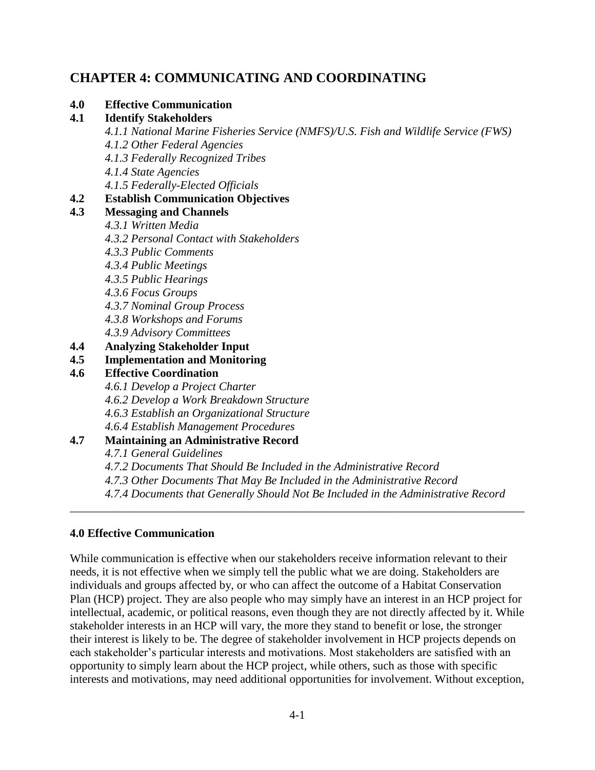# **CHAPTER 4: COMMUNICATING AND COORDINATING**

#### **4.0 Effective Communication**

#### **4.1 Identify Stakeholders**

- *4.1.1 National Marine Fisheries Service (NMFS)/U.S. Fish and Wildlife Service (FWS) 4.1.2 Other Federal Agencies*
- *4.1.3 Federally Recognized Tribes*
- *4.1.4 State Agencies*
- *4.1.5 Federally-Elected Officials*

### **4.2 Establish Communication Objectives**

## **4.3 Messaging and Channels**

- *4.3.1 Written Media*
- *4.3.2 Personal Contact with Stakeholders*
- *4.3.3 Public Comments*
- *4.3.4 Public Meetings*
- *4.3.5 Public Hearings*
- *4.3.6 Focus Groups*
- *4.3.7 Nominal Group Process*
- *4.3.8 Workshops and Forums*
	- *4.3.9 Advisory Committees*
- **4.4 Analyzing Stakeholder Input**
- **4.5 Implementation and Monitoring**

### **4.6 Effective Coordination**

*4.6.1 Develop a Project Charter*

- *4.6.2 Develop a Work Breakdown Structure*
- *4.6.3 Establish an Organizational Structure*
- *4.6.4 Establish Management Procedures*

### **4.7 Maintaining an Administrative Record**

*4.7.1 General Guidelines*

- *4.7.2 Documents That Should Be Included in the Administrative Record*
- *4.7.3 Other Documents That May Be Included in the Administrative Record*
- *4.7.4 Documents that Generally Should Not Be Included in the Administrative Record*

\_\_\_\_\_\_\_\_\_\_\_\_\_\_\_\_\_\_\_\_\_\_\_\_\_\_\_\_\_\_\_\_\_\_\_\_\_\_\_\_\_\_\_\_\_\_\_\_\_\_\_\_\_\_\_\_\_\_\_\_\_\_\_\_\_\_\_\_\_\_\_\_\_\_\_\_\_\_

### **4.0 Effective Communication**

While communication is effective when our stakeholders receive information relevant to their needs, it is not effective when we simply tell the public what we are doing. Stakeholders are individuals and groups affected by, or who can affect the outcome of a Habitat Conservation Plan (HCP) project. They are also people who may simply have an interest in an HCP project for intellectual, academic, or political reasons, even though they are not directly affected by it. While stakeholder interests in an HCP will vary, the more they stand to benefit or lose, the stronger their interest is likely to be. The degree of stakeholder involvement in HCP projects depends on each stakeholder's particular interests and motivations. Most stakeholders are satisfied with an opportunity to simply learn about the HCP project, while others, such as those with specific interests and motivations, may need additional opportunities for involvement. Without exception,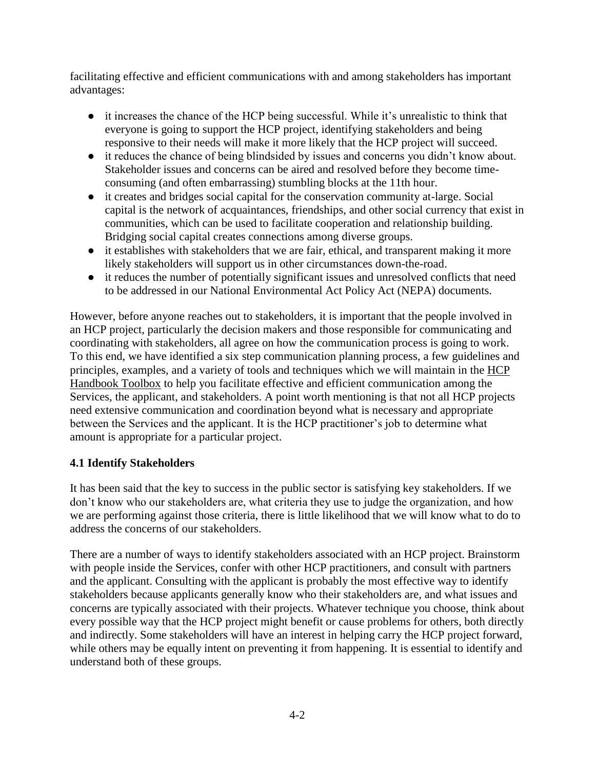facilitating effective and efficient communications with and among stakeholders has important advantages:

- it increases the chance of the HCP being successful. While it's unrealistic to think that everyone is going to support the HCP project, identifying stakeholders and being responsive to their needs will make it more likely that the HCP project will succeed.
- it reduces the chance of being blindsided by issues and concerns you didn't know about. Stakeholder issues and concerns can be aired and resolved before they become timeconsuming (and often embarrassing) stumbling blocks at the 11th hour.
- it creates and bridges social capital for the conservation community at-large. Social capital is the network of acquaintances, friendships, and other social currency that exist in communities, which can be used to facilitate cooperation and relationship building. Bridging social capital creates connections among diverse groups.
- it establishes with stakeholders that we are fair, ethical, and transparent making it more likely stakeholders will support us in other circumstances down-the-road.
- it reduces the number of potentially significant issues and unresolved conflicts that need to be addressed in our National Environmental Act Policy Act (NEPA) documents.

However, before anyone reaches out to stakeholders, it is important that the people involved in an HCP project, particularly the decision makers and those responsible for communicating and coordinating with stakeholders, all agree on how the communication process is going to work. To this end, we have identified a six step communication planning process, a few guidelines and principles, examples, and a variety of tools and techniques which we will maintain in the [HCP](https://www.fws.gov/endangered/what-we-do/hcp-handbook-toolbox.html#Ch4)  [Handbook Toolbox](https://www.fws.gov/endangered/what-we-do/hcp-handbook-toolbox.html#Ch4) to help you facilitate effective and efficient communication among the Services, the applicant, and stakeholders. A point worth mentioning is that not all HCP projects need extensive communication and coordination beyond what is necessary and appropriate between the Services and the applicant. It is the HCP practitioner's job to determine what amount is appropriate for a particular project.

# **4.1 Identify Stakeholders**

It has been said that the key to success in the public sector is satisfying key stakeholders. If we don't know who our stakeholders are, what criteria they use to judge the organization, and how we are performing against those criteria, there is little likelihood that we will know what to do to address the concerns of our stakeholders.

There are a number of ways to identify stakeholders associated with an HCP project. Brainstorm with people inside the Services, confer with other HCP practitioners, and consult with partners and the applicant. Consulting with the applicant is probably the most effective way to identify stakeholders because applicants generally know who their stakeholders are, and what issues and concerns are typically associated with their projects. Whatever technique you choose, think about every possible way that the HCP project might benefit or cause problems for others, both directly and indirectly. Some stakeholders will have an interest in helping carry the HCP project forward, while others may be equally intent on preventing it from happening. It is essential to identify and understand both of these groups.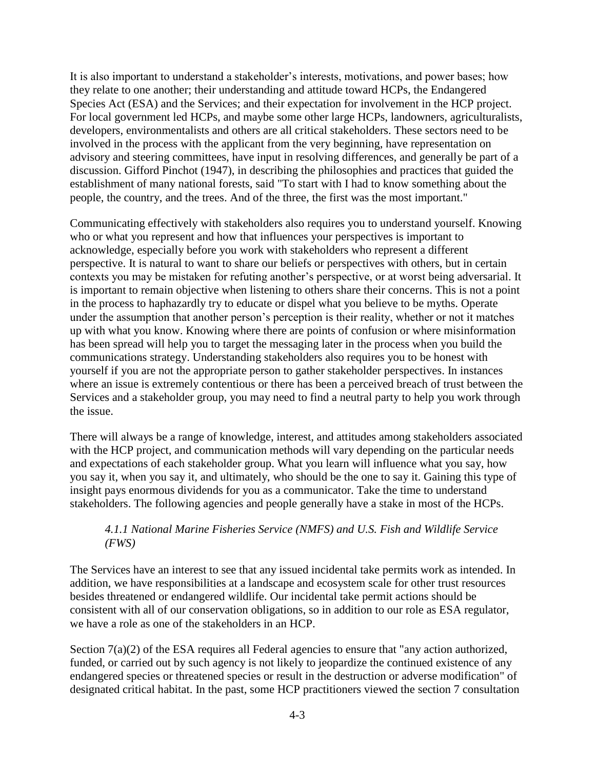It is also important to understand a stakeholder's interests, motivations, and power bases; how they relate to one another; their understanding and attitude toward HCPs, the Endangered Species Act (ESA) and the Services; and their expectation for involvement in the HCP project. For local government led HCPs, and maybe some other large HCPs, landowners, agriculturalists, developers, environmentalists and others are all critical stakeholders. These sectors need to be involved in the process with the applicant from the very beginning, have representation on advisory and steering committees, have input in resolving differences, and generally be part of a discussion. Gifford Pinchot (1947), in describing the philosophies and practices that guided the establishment of many national forests, said "To start with I had to know something about the people, the country, and the trees. And of the three, the first was the most important."

Communicating effectively with stakeholders also requires you to understand yourself. Knowing who or what you represent and how that influences your perspectives is important to acknowledge, especially before you work with stakeholders who represent a different perspective. It is natural to want to share our beliefs or perspectives with others, but in certain contexts you may be mistaken for refuting another's perspective, or at worst being adversarial. It is important to remain objective when listening to others share their concerns. This is not a point in the process to haphazardly try to educate or dispel what you believe to be myths. Operate under the assumption that another person's perception is their reality, whether or not it matches up with what you know. Knowing where there are points of confusion or where misinformation has been spread will help you to target the messaging later in the process when you build the communications strategy. Understanding stakeholders also requires you to be honest with yourself if you are not the appropriate person to gather stakeholder perspectives. In instances where an issue is extremely contentious or there has been a perceived breach of trust between the Services and a stakeholder group, you may need to find a neutral party to help you work through the issue.

There will always be a range of knowledge, interest, and attitudes among stakeholders associated with the HCP project, and communication methods will vary depending on the particular needs and expectations of each stakeholder group. What you learn will influence what you say, how you say it, when you say it, and ultimately, who should be the one to say it. Gaining this type of insight pays enormous dividends for you as a communicator. Take the time to understand stakeholders. The following agencies and people generally have a stake in most of the HCPs.

### *4.1.1 National Marine Fisheries Service (NMFS) and U.S. Fish and Wildlife Service (FWS)*

The Services have an interest to see that any issued incidental take permits work as intended. In addition, we have responsibilities at a landscape and ecosystem scale for other trust resources besides threatened or endangered wildlife. Our incidental take permit actions should be consistent with all of our conservation obligations, so in addition to our role as ESA regulator, we have a role as one of the stakeholders in an HCP.

Section 7(a)(2) of the ESA requires all Federal agencies to ensure that "any action authorized, funded, or carried out by such agency is not likely to jeopardize the continued existence of any endangered species or threatened species or result in the destruction or adverse modification" of designated critical habitat. In the past, some HCP practitioners viewed the section 7 consultation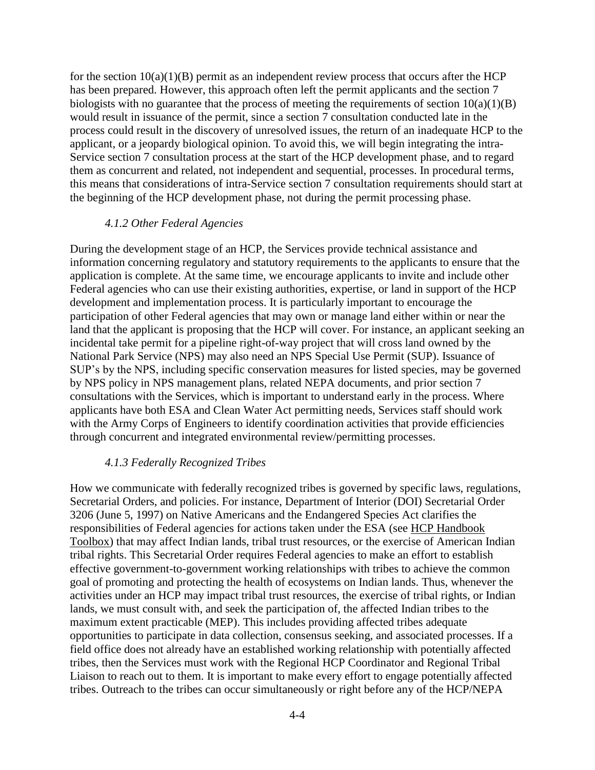for the section  $10(a)(1)(B)$  permit as an independent review process that occurs after the HCP has been prepared. However, this approach often left the permit applicants and the section 7 biologists with no guarantee that the process of meeting the requirements of section  $10(a)(1)(B)$ would result in issuance of the permit, since a section 7 consultation conducted late in the process could result in the discovery of unresolved issues, the return of an inadequate HCP to the applicant, or a jeopardy biological opinion. To avoid this, we will begin integrating the intra-Service section 7 consultation process at the start of the HCP development phase, and to regard them as concurrent and related, not independent and sequential, processes. In procedural terms, this means that considerations of intra-Service section 7 consultation requirements should start at the beginning of the HCP development phase, not during the permit processing phase.

#### *4.1.2 Other Federal Agencies*

During the development stage of an HCP, the Services provide technical assistance and information concerning regulatory and statutory requirements to the applicants to ensure that the application is complete. At the same time, we encourage applicants to invite and include other Federal agencies who can use their existing authorities, expertise, or land in support of the HCP development and implementation process. It is particularly important to encourage the participation of other Federal agencies that may own or manage land either within or near the land that the applicant is proposing that the HCP will cover. For instance, an applicant seeking an incidental take permit for a pipeline right-of-way project that will cross land owned by the National Park Service (NPS) may also need an NPS Special Use Permit (SUP). Issuance of SUP's by the NPS, including specific conservation measures for listed species, may be governed by NPS policy in NPS management plans, related NEPA documents, and prior section 7 consultations with the Services, which is important to understand early in the process. Where applicants have both ESA and Clean Water Act permitting needs, Services staff should work with the Army Corps of Engineers to identify coordination activities that provide efficiencies through concurrent and integrated environmental review/permitting processes.

#### *4.1.3 Federally Recognized Tribes*

How we communicate with federally recognized tribes is governed by specific laws, regulations, Secretarial Orders, and policies. For instance, Department of Interior (DOI) Secretarial Order 3206 (June 5, 1997) on Native Americans and the Endangered Species Act clarifies the responsibilities of Federal agencies for actions taken under the ESA (see [HCP Handbook](https://www.fws.gov/endangered/what-we-do/hcp-handbook-toolbox.html#Ch4)  [Toolbox\)](https://www.fws.gov/endangered/what-we-do/hcp-handbook-toolbox.html#Ch4) that may affect Indian lands, tribal trust resources, or the exercise of American Indian tribal rights. This Secretarial Order requires Federal agencies to make an effort to establish effective government-to-government working relationships with tribes to achieve the common goal of promoting and protecting the health of ecosystems on Indian lands. Thus, whenever the activities under an HCP may impact tribal trust resources, the exercise of tribal rights, or Indian lands, we must consult with, and seek the participation of, the affected Indian tribes to the maximum extent practicable (MEP). This includes providing affected tribes adequate opportunities to participate in data collection, consensus seeking, and associated processes. If a field office does not already have an established working relationship with potentially affected tribes, then the Services must work with the Regional HCP Coordinator and Regional Tribal Liaison to reach out to them. It is important to make every effort to engage potentially affected tribes. Outreach to the tribes can occur simultaneously or right before any of the HCP/NEPA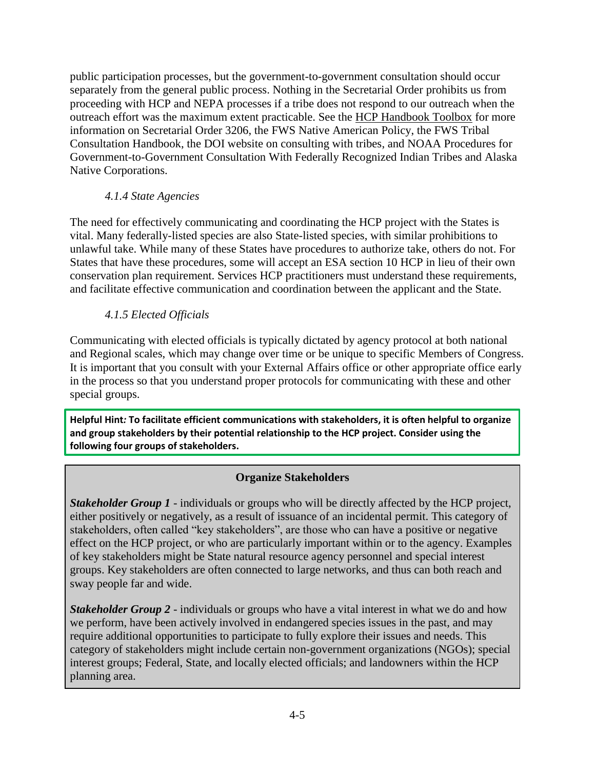public participation processes, but the government-to-government consultation should occur separately from the general public process. Nothing in the Secretarial Order prohibits us from proceeding with HCP and NEPA processes if a tribe does not respond to our outreach when the outreach effort was the maximum extent practicable. See the [HCP Handbook Toolbox](https://www.fws.gov/endangered/what-we-do/hcp-handbook-toolbox.html#Ch4) for more information on Secretarial Order 3206, the [FWS Native](http://www.fws.gov/endangered/what-we-do/tribal-secretarial-order.html) [American Policy,](http://www.fws.gov/endangered/what-we-do/tribal-secretarial-order.html) [the FWS Tribal](http://www.fws.gov/endangered/what-we-do/tribal-secretarial-order.html)  [Consultation Handbook,](http://www.fws.gov/endangered/what-we-do/tribal-secretarial-order.html) the [DOI website on consulting with tribes,](http://www.fws.gov/endangered/what-we-do/tribal-secretarial-order.html) and NOAA Procedures for Government-to-Government Consultation With Federally Recognized Indian Tribes and Alaska Native Corporations.

## *4.1.4 State Agencies*

The need for effectively communicating and coordinating the HCP project with the States is vital. Many federally-listed species are also State-listed species, with similar prohibitions to unlawful take. While many of these States have procedures to authorize take, others do not. For States that have these procedures, some will accept an ESA section 10 HCP in lieu of their own conservation plan requirement. Services HCP practitioners must understand these requirements, and facilitate effective communication and coordination between the applicant and the State.

# *4.1.5 Elected Officials*

Communicating with elected officials is typically dictated by agency protocol at both national and Regional scales, which may change over time or be unique to specific Members of Congress. It is important that you consult with your External Affairs office or other appropriate office early in the process so that you understand proper protocols for communicating with these and other special groups.

**Helpful Hint***:* **To facilitate efficient communications with stakeholders, it is often helpful to organize and group stakeholders by their potential relationship to the HCP project. Consider using the following four groups of stakeholders.**

### **Organize Stakeholders**

**Stakeholder Group 1** - individuals or groups who will be directly affected by the HCP project, either positively or negatively, as a result of issuance of an incidental permit. This category of stakeholders, often called "key stakeholders", are those who can have a positive or negative effect on the HCP project, or who are particularly important within or to the agency. Examples of key stakeholders might be State natural resource agency personnel and special interest groups. Key stakeholders are often connected to large networks, and thus can both reach and sway people far and wide.

*Stakeholder Group 2* - individuals or groups who have a vital interest in what we do and how we perform, have been actively involved in endangered species issues in the past, and may require additional opportunities to participate to fully explore their issues and needs. This category of stakeholders might include certain non-government organizations (NGOs); special interest groups; Federal, State, and locally elected officials; and landowners within the HCP planning area.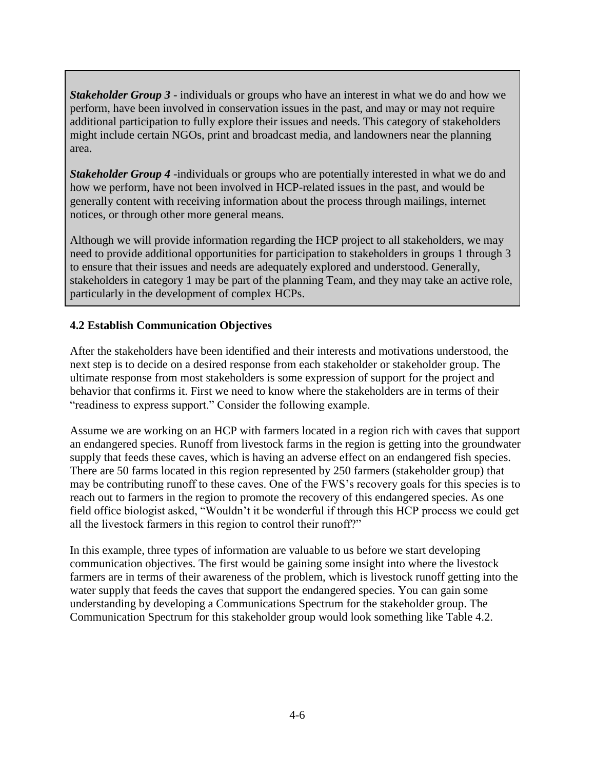*Stakeholder Group 3* - individuals or groups who have an interest in what we do and how we perform, have been involved in conservation issues in the past, and may or may not require additional participation to fully explore their issues and needs. This category of stakeholders might include certain NGOs, print and broadcast media, and landowners near the planning area.

*Stakeholder Group 4*-individuals or groups who are potentially interested in what we do and how we perform, have not been involved in HCP-related issues in the past, and would be generally content with receiving information about the process through mailings, internet notices, or through other more general means.

Although we will provide information regarding the HCP project to all stakeholders, we may need to provide additional opportunities for participation to stakeholders in groups 1 through 3 to ensure that their issues and needs are adequately explored and understood. Generally, stakeholders in category 1 may be part of the planning Team, and they may take an active role, particularly in the development of complex HCPs.

### **4.2 Establish Communication Objectives**

After the stakeholders have been identified and their interests and motivations understood, the next step is to decide on a desired response from each stakeholder or stakeholder group. The ultimate response from most stakeholders is some expression of support for the project and behavior that confirms it. First we need to know where the stakeholders are in terms of their "readiness to express support." Consider the following example.

Assume we are working on an HCP with farmers located in a region rich with caves that support an endangered species. Runoff from livestock farms in the region is getting into the groundwater supply that feeds these caves, which is having an adverse effect on an endangered fish species. There are 50 farms located in this region represented by 250 farmers (stakeholder group) that may be contributing runoff to these caves. One of the FWS's recovery goals for this species is to reach out to farmers in the region to promote the recovery of this endangered species. As one field office biologist asked, "Wouldn't it be wonderful if through this HCP process we could get all the livestock farmers in this region to control their runoff?"

In this example, three types of information are valuable to us before we start developing communication objectives. The first would be gaining some insight into where the livestock farmers are in terms of their awareness of the problem, which is livestock runoff getting into the water supply that feeds the caves that support the endangered species. You can gain some understanding by developing a Communications Spectrum for the stakeholder group. The Communication Spectrum for this stakeholder group would look something like Table 4.2.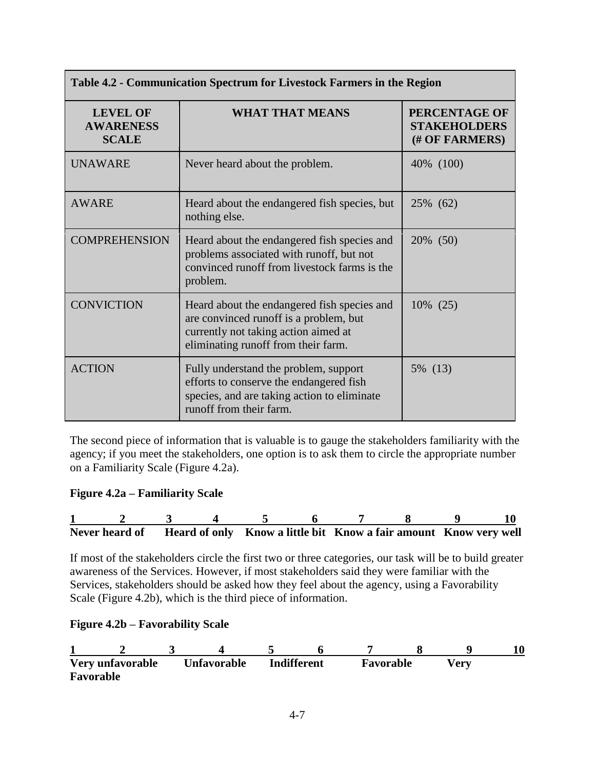| Table 4.2 - Communication Spectrum for Livestock Farmers in the Region |                                                                                                                                                                      |                                                        |  |  |  |
|------------------------------------------------------------------------|----------------------------------------------------------------------------------------------------------------------------------------------------------------------|--------------------------------------------------------|--|--|--|
| <b>LEVEL OF</b><br><b>AWARENESS</b><br><b>SCALE</b>                    | <b>WHAT THAT MEANS</b>                                                                                                                                               | PERCENTAGE OF<br><b>STAKEHOLDERS</b><br>(# OF FARMERS) |  |  |  |
| <b>UNAWARE</b>                                                         | Never heard about the problem.                                                                                                                                       | 40\% (100)                                             |  |  |  |
| <b>AWARE</b>                                                           | Heard about the endangered fish species, but<br>nothing else.                                                                                                        | 25% (62)                                               |  |  |  |
| <b>COMPREHENSION</b>                                                   | Heard about the endangered fish species and<br>problems associated with runoff, but not<br>convinced runoff from livestock farms is the<br>problem.                  | 20% (50)                                               |  |  |  |
| <b>CONVICTION</b>                                                      | Heard about the endangered fish species and<br>are convinced runoff is a problem, but<br>currently not taking action aimed at<br>eliminating runoff from their farm. | 10% (25)                                               |  |  |  |
| <b>ACTION</b>                                                          | Fully understand the problem, support<br>efforts to conserve the endangered fish<br>species, and are taking action to eliminate<br>runoff from their farm.           | 5% (13)                                                |  |  |  |

The second piece of information that is valuable is to gauge the stakeholders familiarity with the agency; if you meet the stakeholders, one option is to ask them to circle the appropriate number on a Familiarity Scale (Figure 4.2a).

#### **Figure 4.2a – Familiarity Scale**

|  |  |  | Never heard of Heard of only Know a little bit Know a fair amount Know very well |  |  |
|--|--|--|----------------------------------------------------------------------------------|--|--|

If most of the stakeholders circle the first two or three categories, our task will be to build greater awareness of the Services. However, if most stakeholders said they were familiar with the Services, stakeholders should be asked how they feel about the agency, using a Favorability Scale (Figure 4.2b), which is the third piece of information.

#### **Figure 4.2b – Favorability Scale**

| Very unfavorable<br>Favorable | Unfavorable | <b>Indifferent</b> | Favorable | √erv |  |
|-------------------------------|-------------|--------------------|-----------|------|--|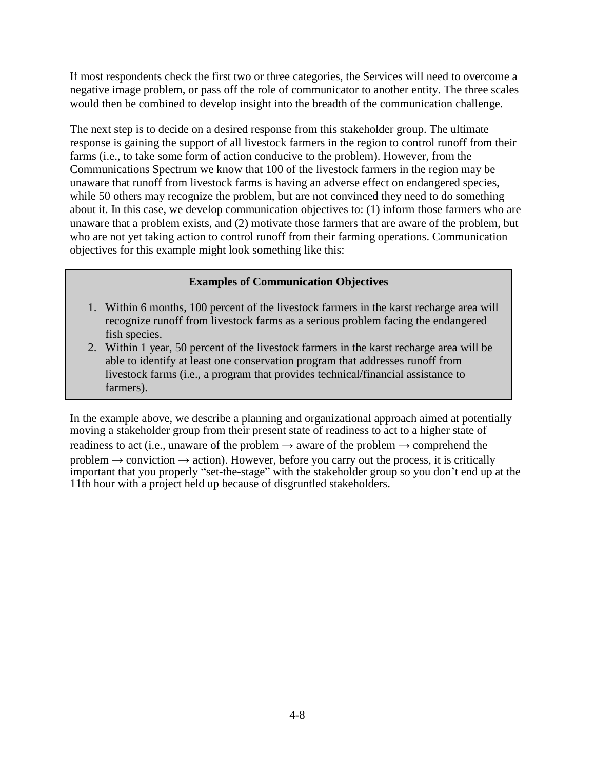If most respondents check the first two or three categories, the Services will need to overcome a negative image problem, or pass off the role of communicator to another entity. The three scales would then be combined to develop insight into the breadth of the communication challenge.

The next step is to decide on a desired response from this stakeholder group. The ultimate response is gaining the support of all livestock farmers in the region to control runoff from their farms (i.e., to take some form of action conducive to the problem). However, from the Communications Spectrum we know that 100 of the livestock farmers in the region may be unaware that runoff from livestock farms is having an adverse effect on endangered species, while 50 others may recognize the problem, but are not convinced they need to do something about it. In this case, we develop communication objectives to: (1) inform those farmers who are unaware that a problem exists, and (2) motivate those farmers that are aware of the problem, but who are not yet taking action to control runoff from their farming operations. Communication objectives for this example might look something like this:

### **Examples of Communication Objectives**

- 1. Within 6 months, 100 percent of the livestock farmers in the karst recharge area will recognize runoff from livestock farms as a serious problem facing the endangered fish species.
- 2. Within 1 year, 50 percent of the livestock farmers in the karst recharge area will be able to identify at least one conservation program that addresses runoff from livestock farms (i.e., a program that provides technical/financial assistance to farmers).

In the example above, we describe a planning and organizational approach aimed at potentially moving a stakeholder group from their present state of readiness to act to a higher state of readiness to act (i.e., unaware of the problem  $\rightarrow$  aware of the problem  $\rightarrow$  comprehend the problem  $\rightarrow$  conviction  $\rightarrow$  action). However, before you carry out the process, it is critically important that you properly "set-the-stage" with the stakeholder group so you don't end up at the 11th hour with a project held up because of disgruntled stakeholders.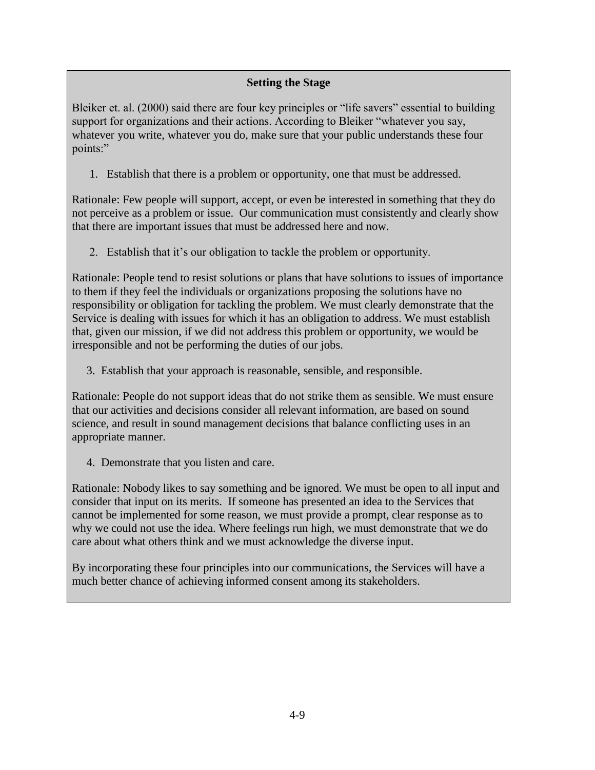# **Setting the Stage**

Bleiker et. al. (2000) said there are four key principles or "life savers" essential to building support for organizations and their actions. According to Bleiker "whatever you say, whatever you write, whatever you do, make sure that your public understands these four points:"

1. Establish that there is a problem or opportunity, one that must be addressed.

Rationale: Few people will support, accept, or even be interested in something that they do not perceive as a problem or issue. Our communication must consistently and clearly show that there are important issues that must be addressed here and now.

2. Establish that it's our obligation to tackle the problem or opportunity.

Rationale: People tend to resist solutions or plans that have solutions to issues of importance to them if they feel the individuals or organizations proposing the solutions have no responsibility or obligation for tackling the problem. We must clearly demonstrate that the Service is dealing with issues for which it has an obligation to address. We must establish that, given our mission, if we did not address this problem or opportunity, we would be irresponsible and not be performing the duties of our jobs.

3. Establish that your approach is reasonable, sensible, and responsible.

Rationale: People do not support ideas that do not strike them as sensible. We must ensure that our activities and decisions consider all relevant information, are based on sound science, and result in sound management decisions that balance conflicting uses in an appropriate manner.

4. Demonstrate that you listen and care.

Rationale: Nobody likes to say something and be ignored. We must be open to all input and consider that input on its merits. If someone has presented an idea to the Services that cannot be implemented for some reason, we must provide a prompt, clear response as to why we could not use the idea. Where feelings run high, we must demonstrate that we do care about what others think and we must acknowledge the diverse input.

By incorporating these four principles into our communications, the Services will have a much better chance of achieving informed consent among its stakeholders.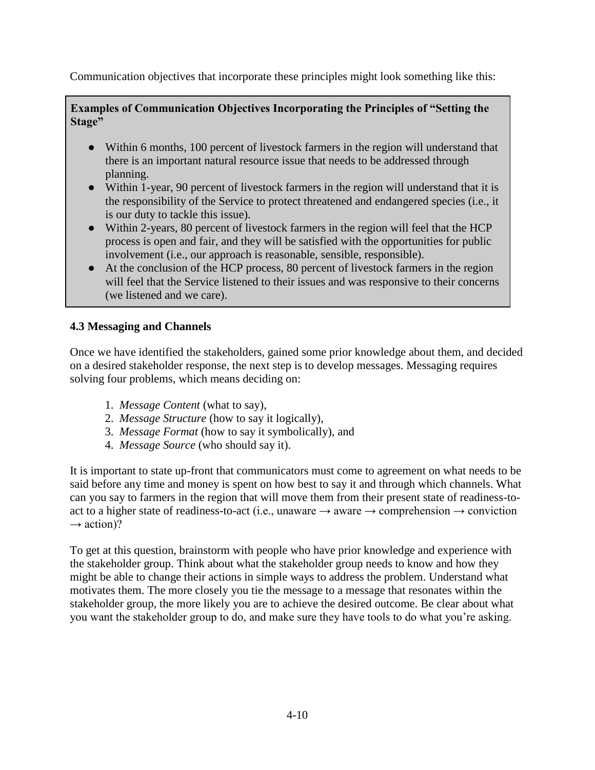Communication objectives that incorporate these principles might look something like this:

**Examples of Communication Objectives Incorporating the Principles of "Setting the Stage"**

- Within 6 months, 100 percent of livestock farmers in the region will understand that there is an important natural resource issue that needs to be addressed through planning.
- Within 1-year, 90 percent of livestock farmers in the region will understand that it is the responsibility of the Service to protect threatened and endangered species (i.e., it is our duty to tackle this issue).
- Within 2-years, 80 percent of livestock farmers in the region will feel that the HCP process is open and fair, and they will be satisfied with the opportunities for public involvement (i.e., our approach is reasonable, sensible, responsible).
- At the conclusion of the HCP process, 80 percent of livestock farmers in the region will feel that the Service listened to their issues and was responsive to their concerns (we listened and we care).

# **4.3 Messaging and Channels**

Once we have identified the stakeholders, gained some prior knowledge about them, and decided on a desired stakeholder response, the next step is to develop messages. Messaging requires solving four problems, which means deciding on:

- 1. *Message Content* (what to say),
- 2. *Message Structure* (how to say it logically),
- 3. *Message Format* (how to say it symbolically), and
- 4. *Message Source* (who should say it).

It is important to state up-front that communicators must come to agreement on what needs to be said before any time and money is spent on how best to say it and through which channels. What can you say to farmers in the region that will move them from their present state of readiness-toact to a higher state of readiness-to-act (i.e., unaware  $\rightarrow$  aware  $\rightarrow$  comprehension  $\rightarrow$  conviction  $\rightarrow$  action)?

To get at this question, brainstorm with people who have prior knowledge and experience with the stakeholder group. Think about what the stakeholder group needs to know and how they might be able to change their actions in simple ways to address the problem. Understand what motivates them. The more closely you tie the message to a message that resonates within the stakeholder group, the more likely you are to achieve the desired outcome. Be clear about what you want the stakeholder group to do, and make sure they have tools to do what you're asking.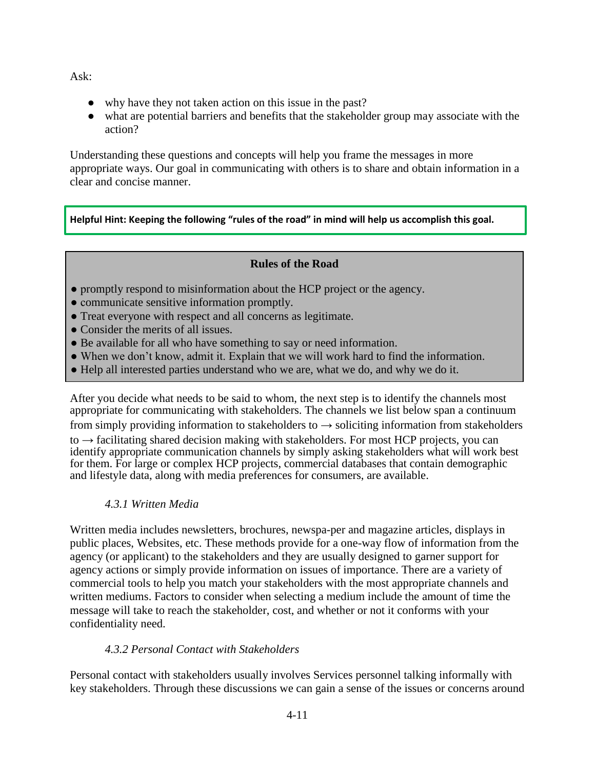Ask:

- why have they not taken action on this issue in the past?
- what are potential barriers and benefits that the stakeholder group may associate with the action?

Understanding these questions and concepts will help you frame the messages in more appropriate ways. Our goal in communicating with others is to share and obtain information in a clear and concise manner.

**Helpful Hint: Keeping the following "rules of the road" in mind will help us accomplish this goal.**

# **Rules of the Road**

- promptly respond to misinformation about the HCP project or the agency.
- communicate sensitive information promptly.
- Treat everyone with respect and all concerns as legitimate.
- Consider the merits of all issues.
- Be available for all who have something to say or need information.
- When we don't know, admit it. Explain that we will work hard to find the information.
- Help all interested parties understand who we are, what we do, and why we do it.

After you decide what needs to be said to whom, the next step is to identify the channels most appropriate for communicating with stakeholders. The channels we list below span a continuum from simply providing information to stakeholders to  $\rightarrow$  soliciting information from stakeholders

to  $\rightarrow$  facilitating shared decision making with stakeholders. For most HCP projects, you can identify appropriate communication channels by simply asking stakeholders what will work best for them. For large or complex HCP projects, commercial databases that contain demographic and lifestyle data, along with media preferences for consumers, are available.

# *4.3.1 Written Media*

Written media includes newsletters, brochures, newspa-per and magazine articles, displays in public places, Websites, etc. These methods provide for a one-way flow of information from the agency (or applicant) to the stakeholders and they are usually designed to garner support for agency actions or simply provide information on issues of importance. There are a variety of commercial tools to help you match your stakeholders with the most appropriate channels and written mediums. Factors to consider when selecting a medium include the amount of time the message will take to reach the stakeholder, cost, and whether or not it conforms with your confidentiality need.

# *4.3.2 Personal Contact with Stakeholders*

Personal contact with stakeholders usually involves Services personnel talking informally with key stakeholders. Through these discussions we can gain a sense of the issues or concerns around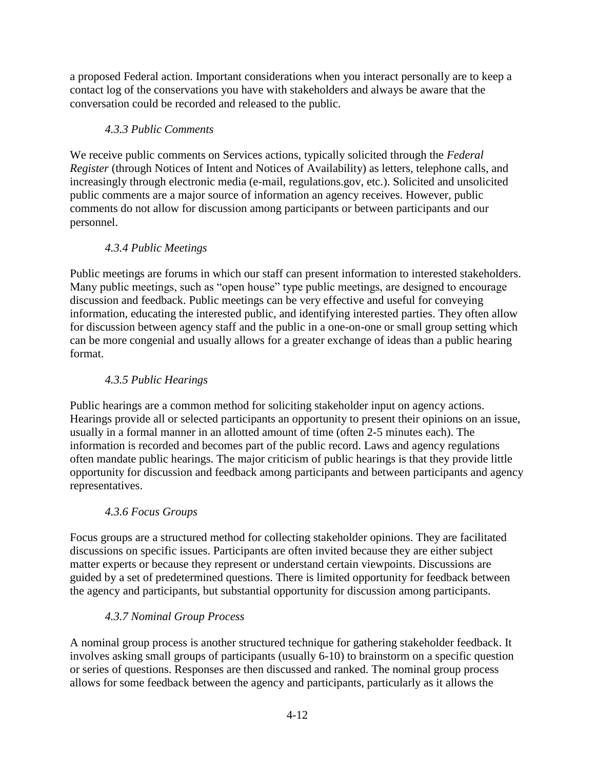a proposed Federal action. Important considerations when you interact personally are to keep a contact log of the conservations you have with stakeholders and always be aware that the conversation could be recorded and released to the public.

# *4.3.3 Public Comments*

We receive public comments on Services actions, typically solicited through the *Federal Register* (through Notices of Intent and Notices of Availability) as letters, telephone calls, and increasingly through electronic media (e-mail, regulations.gov, etc.). Solicited and unsolicited public comments are a major source of information an agency receives. However, public comments do not allow for discussion among participants or between participants and our personnel.

# *4.3.4 Public Meetings*

Public meetings are forums in which our staff can present information to interested stakeholders. Many public meetings, such as "open house" type public meetings, are designed to encourage discussion and feedback. Public meetings can be very effective and useful for conveying information, educating the interested public, and identifying interested parties. They often allow for discussion between agency staff and the public in a one-on-one or small group setting which can be more congenial and usually allows for a greater exchange of ideas than a public hearing format.

# *4.3.5 Public Hearings*

Public hearings are a common method for soliciting stakeholder input on agency actions. Hearings provide all or selected participants an opportunity to present their opinions on an issue, usually in a formal manner in an allotted amount of time (often 2-5 minutes each). The information is recorded and becomes part of the public record. Laws and agency regulations often mandate public hearings. The major criticism of public hearings is that they provide little opportunity for discussion and feedback among participants and between participants and agency representatives.

# *4.3.6 Focus Groups*

Focus groups are a structured method for collecting stakeholder opinions. They are facilitated discussions on specific issues. Participants are often invited because they are either subject matter experts or because they represent or understand certain viewpoints. Discussions are guided by a set of predetermined questions. There is limited opportunity for feedback between the agency and participants, but substantial opportunity for discussion among participants.

# *4.3.7 Nominal Group Process*

A nominal group process is another structured technique for gathering stakeholder feedback. It involves asking small groups of participants (usually 6-10) to brainstorm on a specific question or series of questions. Responses are then discussed and ranked. The nominal group process allows for some feedback between the agency and participants, particularly as it allows the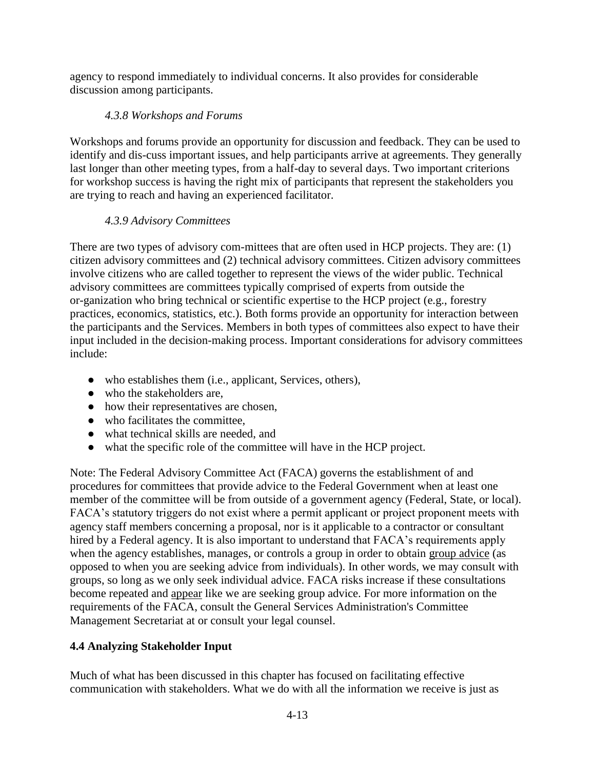agency to respond immediately to individual concerns. It also provides for considerable discussion among participants.

# *4.3.8 Workshops and Forums*

Workshops and forums provide an opportunity for discussion and feedback. They can be used to identify and dis-cuss important issues, and help participants arrive at agreements. They generally last longer than other meeting types, from a half-day to several days. Two important criterions for workshop success is having the right mix of participants that represent the stakeholders you are trying to reach and having an experienced facilitator.

# *4.3.9 Advisory Committees*

There are two types of advisory com-mittees that are often used in HCP projects. They are: (1) citizen advisory committees and (2) technical advisory committees. Citizen advisory committees involve citizens who are called together to represent the views of the wider public. Technical advisory committees are committees typically comprised of experts from outside the or-ganization who bring technical or scientific expertise to the HCP project (e.g., forestry practices, economics, statistics, etc.). Both forms provide an opportunity for interaction between the participants and the Services. Members in both types of committees also expect to have their input included in the decision-making process. Important considerations for advisory committees include:

- who establishes them (i.e., applicant, Services, others),
- who the stakeholders are,
- how their representatives are chosen,
- who facilitates the committee,
- what technical skills are needed, and
- what the specific role of the committee will have in the HCP project.

Note: The Federal Advisory Committee Act (FACA) governs the establishment of and procedures for committees that provide advice to the Federal Government when at least one member of the committee will be from outside of a government agency (Federal, State, or local). FACA's statutory triggers do not exist where a permit applicant or project proponent meets with agency staff members concerning a proposal, nor is it applicable to a contractor or consultant hired by a Federal agency. It is also important to understand that FACA's requirements apply when the agency establishes, manages, or controls a group in order to obtain group advice (as opposed to when you are seeking advice from individuals). In other words, we may consult with groups, so long as we only seek individual advice. FACA risks increase if these consultations become repeated and appear like we are seeking group advice. For more information on the requirements of the FACA, consult the General Services Administration's Committee Management Secretariat at or consult your legal counsel.

# **4.4 Analyzing Stakeholder Input**

Much of what has been discussed in this chapter has focused on facilitating effective communication with stakeholders. What we do with all the information we receive is just as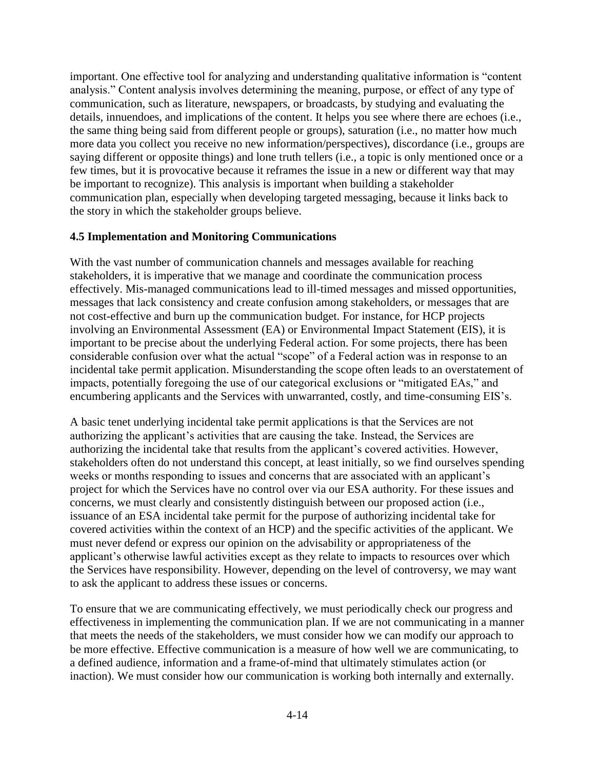important. One effective tool for analyzing and understanding qualitative information is "content analysis." Content analysis involves determining the meaning, purpose, or effect of any type of communication, such as literature, newspapers, or broadcasts, by studying and evaluating the details, innuendoes, and implications of the content. It helps you see where there are echoes (i.e., the same thing being said from different people or groups), saturation (i.e., no matter how much more data you collect you receive no new information/perspectives), discordance (i.e., groups are saying different or opposite things) and lone truth tellers (i.e., a topic is only mentioned once or a few times, but it is provocative because it reframes the issue in a new or different way that may be important to recognize). This analysis is important when building a stakeholder communication plan, especially when developing targeted messaging, because it links back to the story in which the stakeholder groups believe.

#### **4.5 Implementation and Monitoring Communications**

With the vast number of communication channels and messages available for reaching stakeholders, it is imperative that we manage and coordinate the communication process effectively. Mis-managed communications lead to ill-timed messages and missed opportunities, messages that lack consistency and create confusion among stakeholders, or messages that are not cost-effective and burn up the communication budget. For instance, for HCP projects involving an Environmental Assessment (EA) or Environmental Impact Statement (EIS), it is important to be precise about the underlying Federal action. For some projects, there has been considerable confusion over what the actual "scope" of a Federal action was in response to an incidental take permit application. Misunderstanding the scope often leads to an overstatement of impacts, potentially foregoing the use of our categorical exclusions or "mitigated EAs," and encumbering applicants and the Services with unwarranted, costly, and time-consuming EIS's.

A basic tenet underlying incidental take permit applications is that the Services are not authorizing the applicant's activities that are causing the take. Instead, the Services are authorizing the incidental take that results from the applicant's covered activities. However, stakeholders often do not understand this concept, at least initially, so we find ourselves spending weeks or months responding to issues and concerns that are associated with an applicant's project for which the Services have no control over via our ESA authority. For these issues and concerns, we must clearly and consistently distinguish between our proposed action (i.e., issuance of an ESA incidental take permit for the purpose of authorizing incidental take for covered activities within the context of an HCP) and the specific activities of the applicant. We must never defend or express our opinion on the advisability or appropriateness of the applicant's otherwise lawful activities except as they relate to impacts to resources over which the Services have responsibility. However, depending on the level of controversy, we may want to ask the applicant to address these issues or concerns.

To ensure that we are communicating effectively, we must periodically check our progress and effectiveness in implementing the communication plan. If we are not communicating in a manner that meets the needs of the stakeholders, we must consider how we can modify our approach to be more effective. Effective communication is a measure of how well we are communicating, to a defined audience, information and a frame-of-mind that ultimately stimulates action (or inaction). We must consider how our communication is working both internally and externally.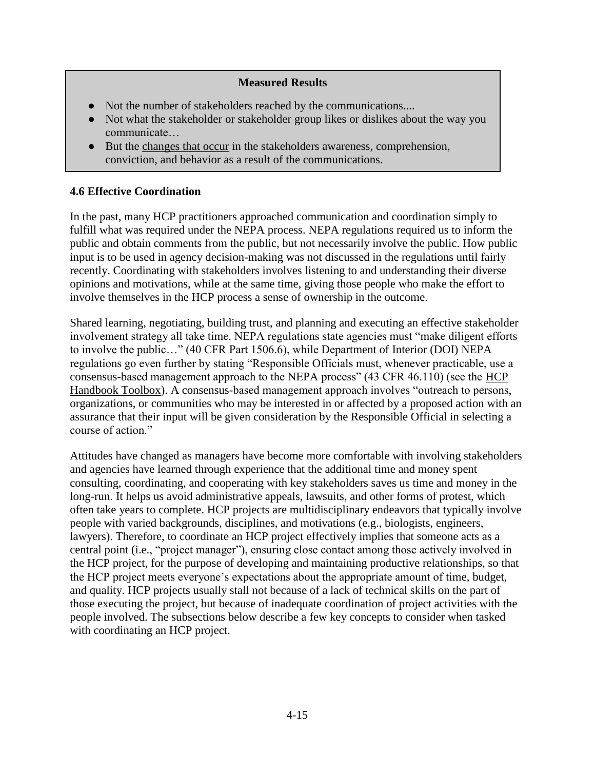#### **Measured Results**

- Not the number of stakeholders reached by the communications....
- Not what the stakeholder or stakeholder group likes or dislikes about the way you communicate…
- But the changes that occur in the stakeholders awareness, comprehension, conviction, and behavior as a result of the communications.

#### **4.6 Effective Coordination**

In the past, many HCP practitioners approached communication and coordination simply to fulfill what was required under the NEPA process. NEPA regulations required us to inform the public and obtain comments from the public, but not necessarily involve the public. How public input is to be used in agency decision-making was not discussed in the regulations until fairly recently. Coordinating with stakeholders involves listening to and understanding their diverse opinions and motivations, while at the same time, giving those people who make the effort to involve themselves in the HCP process a sense of ownership in the outcome.

Shared learning, negotiating, building trust, and planning and executing an effective stakeholder involvement strategy all take time. NEPA regulations state agencies must "make diligent efforts to involve the public…" (40 CFR Part 1506.6), while Department of Interior (DOI) NEPA regulations go even further by stating "Responsible Officials must, whenever practicable, use a consensus-based management approach to the NEPA process" (43 CFR 46.110) (see the [HCP](https://www.fws.gov/endangered/what-we-do/hcp-handbook-toolbox.html#Ch4)  [Handbook Toolbox\)](https://www.fws.gov/endangered/what-we-do/hcp-handbook-toolbox.html#Ch4). A consensus-based management approach involves "outreach to persons, organizations, or communities who may be interested in or affected by a proposed action with an assurance that their input will be given consideration by the Responsible Official in selecting a course of action."

Attitudes have changed as managers have become more comfortable with involving stakeholders and agencies have learned through experience that the additional time and money spent consulting, coordinating, and cooperating with key stakeholders saves us time and money in the long-run. It helps us avoid administrative appeals, lawsuits, and other forms of protest, which often take years to complete. HCP projects are multidisciplinary endeavors that typically involve people with varied backgrounds, disciplines, and motivations (e.g., biologists, engineers, lawyers). Therefore, to coordinate an HCP project effectively implies that someone acts as a central point (i.e., "project manager"), ensuring close contact among those actively involved in the HCP project, for the purpose of developing and maintaining productive relationships, so that the HCP project meets everyone's expectations about the appropriate amount of time, budget, and quality. HCP projects usually stall not because of a lack of technical skills on the part of those executing the project, but because of inadequate coordination of project activities with the people involved. The subsections below describe a few key concepts to consider when tasked with coordinating an HCP project.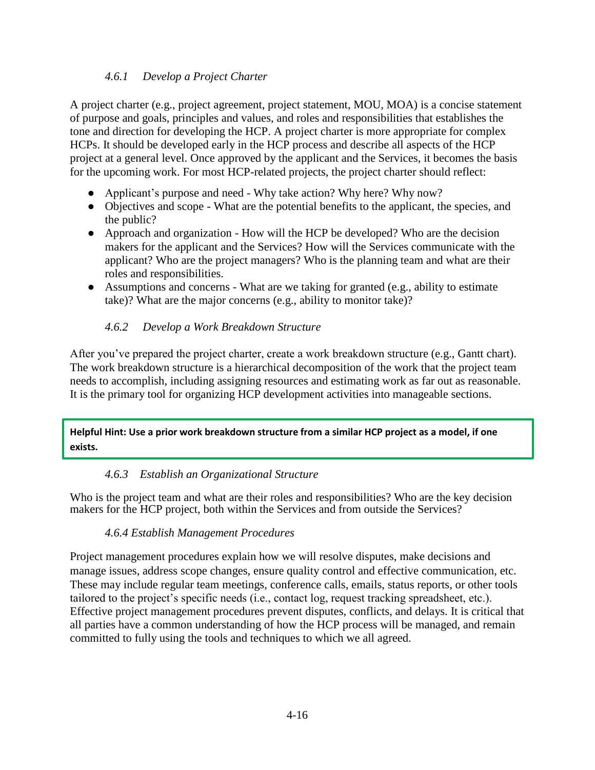## *4.6.1 Develop a Project Charter*

A project charter (e.g., project agreement, project statement, MOU, MOA) is a concise statement of purpose and goals, principles and values, and roles and responsibilities that establishes the tone and direction for developing the HCP. A project charter is more appropriate for complex HCPs. It should be developed early in the HCP process and describe all aspects of the HCP project at a general level. Once approved by the applicant and the Services, it becomes the basis for the upcoming work. For most HCP-related projects, the project charter should reflect:

- Applicant's purpose and need Why take action? Why here? Why now?
- Objectives and scope What are the potential benefits to the applicant, the species, and the public?
- Approach and organization How will the HCP be developed? Who are the decision makers for the applicant and the Services? How will the Services communicate with the applicant? Who are the project managers? Who is the planning team and what are their roles and responsibilities.
- Assumptions and concerns What are we taking for granted (e.g., ability to estimate take)? What are the major concerns (e.g., ability to monitor take)?

## *4.6.2 Develop a Work Breakdown Structure*

After you've prepared the project charter, create a work breakdown structure (e.g., Gantt chart). The work breakdown structure is a hierarchical decomposition of the work that the project team needs to accomplish, including assigning resources and estimating work as far out as reasonable. It is the primary tool for organizing HCP development activities into manageable sections.

#### **Helpful Hint: Use a prior work breakdown structure from a similar HCP project as a model, if one exists.**

### *4.6.3 Establish an Organizational Structure*

Who is the project team and what are their roles and responsibilities? Who are the key decision makers for the HCP project, both within the Services and from outside the Services?

### *4.6.4 Establish Management Procedures*

Project management procedures explain how we will resolve disputes, make decisions and manage issues, address scope changes, ensure quality control and effective communication, etc. These may include regular team meetings, conference calls, emails, status reports, or other tools tailored to the project's specific needs (i.e., contact log, request tracking spreadsheet, etc.). Effective project management procedures prevent disputes, conflicts, and delays. It is critical that all parties have a common understanding of how the HCP process will be managed, and remain committed to fully using the tools and techniques to which we all agreed.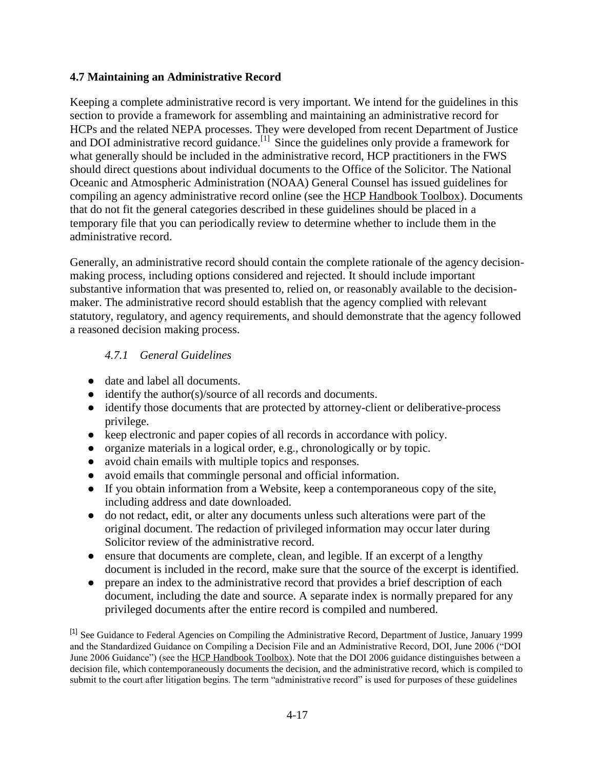#### **4.7 Maintaining an Administrative Record**

Keeping a complete administrative record is very important. We intend for the guidelines in this section to provide a framework for assembling and maintaining an administrative record for HCPs and the related NEPA processes. They were developed from recent Department of Justice and DOI administrative record guidance.<sup>[1]</sup> Since the guidelines only provide a framework for what generally should be included in the administrative record, HCP practitioners in the FWS should direct questions about individual documents to the Office of the Solicitor. The National Oceanic and Atmospheric Administration (NOAA) General Counsel has issued guidelines for compiling an agency administrative record online (see the [HCP Handbook Toolbox\)](https://www.fws.gov/endangered/what-we-do/hcp-handbook-toolbox.html#Ch4). Documents that do not fit the general categories described in these guidelines should be placed in a temporary file that you can periodically review to determine whether to include them in the administrative record.

Generally, an administrative record should contain the complete rationale of the agency decisionmaking process, including options considered and rejected. It should include important substantive information that was presented to, relied on, or reasonably available to the decisionmaker. The administrative record should establish that the agency complied with relevant statutory, regulatory, and agency requirements, and should demonstrate that the agency followed a reasoned decision making process.

### *4.7.1 General Guidelines*

- date and label all documents.
- identify the author(s)/source of all records and documents.
- identify those documents that are protected by attorney-client or deliberative-process privilege.
- keep electronic and paper copies of all records in accordance with policy.
- organize materials in a logical order, e.g., chronologically or by topic.
- avoid chain emails with multiple topics and responses.
- avoid emails that commingle personal and official information.
- If you obtain information from a Website, keep a contemporaneous copy of the site, including address and date downloaded.
- do not redact, edit, or alter any documents unless such alterations were part of the original document. The redaction of privileged information may occur later during Solicitor review of the administrative record.
- ensure that documents are complete, clean, and legible. If an excerpt of a lengthy document is included in the record, make sure that the source of the excerpt is identified.
- prepare an index to the administrative record that provides a brief description of each document, including the date and source. A separate index is normally prepared for any privileged documents after the entire record is compiled and numbered.

<sup>[1]</sup> See Guidance to Federal Agencies on Compiling the Administrative Record, Department of Justice, January 1999 and the Standardized Guidance on Compiling a Decision File and an Administrative Record, DOI, June 2006 ("DOI June 2006 Guidance") (see the [HCP Handbook Toolbox\)](https://www.fws.gov/endangered/what-we-do/hcp-handbook-toolbox.html#Ch4). Note that the DOI 2006 guidance distinguishes between a decision file, which contemporaneously documents the decision, and the administrative record, which is compiled to submit to the court after litigation begins. The term "administrative record" is used for purposes of these guidelines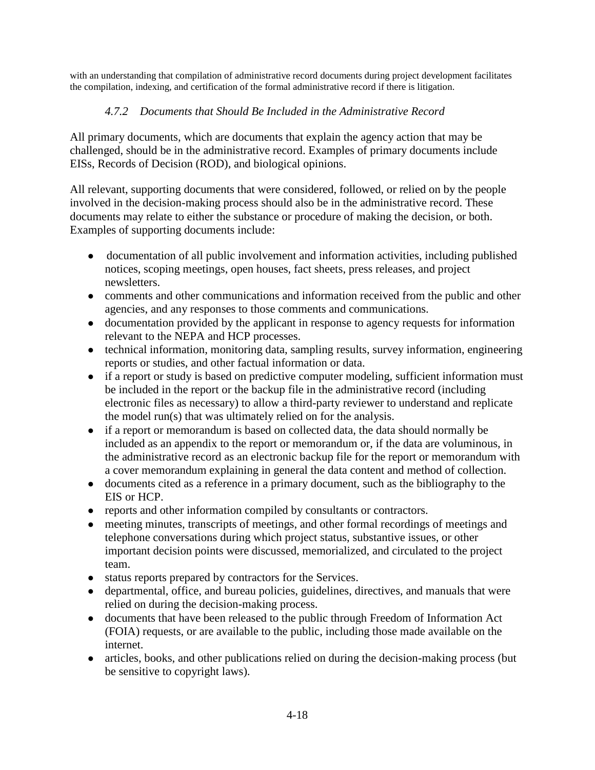with an understanding that compilation of administrative record documents during project development facilitates the compilation, indexing, and certification of the formal administrative record if there is litigation.

## *4.7.2 Documents that Should Be Included in the Administrative Record*

All primary documents, which are documents that explain the agency action that may be challenged, should be in the administrative record. Examples of primary documents include EISs, Records of Decision (ROD), and biological opinions.

All relevant, supporting documents that were considered, followed, or relied on by the people involved in the decision-making process should also be in the administrative record. These documents may relate to either the substance or procedure of making the decision, or both. Examples of supporting documents include:

- documentation of all public involvement and information activities, including published notices, scoping meetings, open houses, fact sheets, press releases, and project newsletters.
- comments and other communications and information received from the public and other agencies, and any responses to those comments and communications.
- documentation provided by the applicant in response to agency requests for information relevant to the NEPA and HCP processes.
- technical information, monitoring data, sampling results, survey information, engineering reports or studies, and other factual information or data.
- if a report or study is based on predictive computer modeling, sufficient information must be included in the report or the backup file in the administrative record (including electronic files as necessary) to allow a third-party reviewer to understand and replicate the model run(s) that was ultimately relied on for the analysis.
- if a report or memorandum is based on collected data, the data should normally be included as an appendix to the report or memorandum or, if the data are voluminous, in the administrative record as an electronic backup file for the report or memorandum with a cover memorandum explaining in general the data content and method of collection.
- documents cited as a reference in a primary document, such as the bibliography to the EIS or HCP.
- reports and other information compiled by consultants or contractors.
- meeting minutes, transcripts of meetings, and other formal recordings of meetings and telephone conversations during which project status, substantive issues, or other important decision points were discussed, memorialized, and circulated to the project team.
- status reports prepared by contractors for the Services.
- departmental, office, and bureau policies, guidelines, directives, and manuals that were relied on during the decision-making process.
- documents that have been released to the public through Freedom of Information Act (FOIA) requests, or are available to the public, including those made available on the internet.
- articles, books, and other publications relied on during the decision-making process (but be sensitive to copyright laws).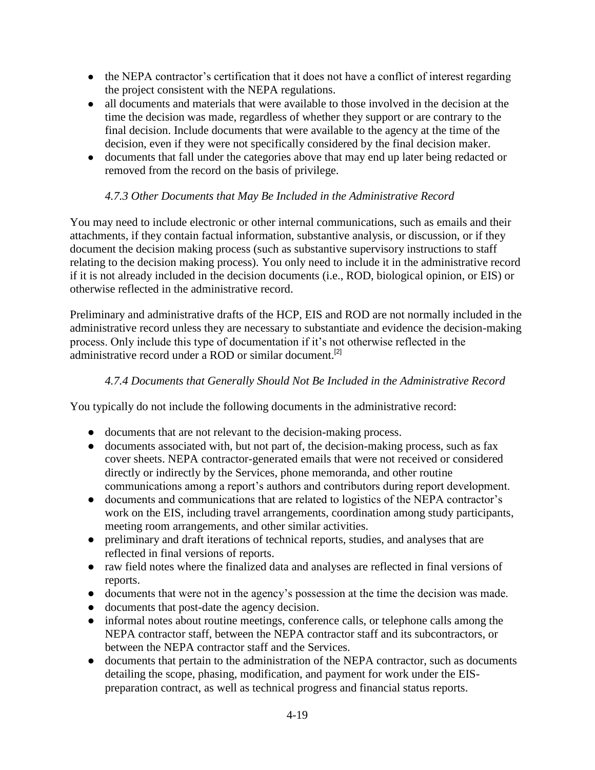- the NEPA contractor's certification that it does not have a conflict of interest regarding the project consistent with the NEPA regulations.
- all documents and materials that were available to those involved in the decision at the time the decision was made, regardless of whether they support or are contrary to the final decision. Include documents that were available to the agency at the time of the decision, even if they were not specifically considered by the final decision maker.
- documents that fall under the categories above that may end up later being redacted or removed from the record on the basis of privilege.

# *4.7.3 Other Documents that May Be Included in the Administrative Record*

You may need to include electronic or other internal communications, such as emails and their attachments, if they contain factual information, substantive analysis, or discussion, or if they document the decision making process (such as substantive supervisory instructions to staff relating to the decision making process). You only need to include it in the administrative record if it is not already included in the decision documents (i.e., ROD, biological opinion, or EIS) or otherwise reflected in the administrative record.

Preliminary and administrative drafts of the HCP, EIS and ROD are not normally included in the administrative record unless they are necessary to substantiate and evidence the decision-making process. Only include this type of documentation if it's not otherwise reflected in the administrative record under a ROD or similar document.<sup>[2]</sup>

# *4.7.4 Documents that Generally Should Not Be Included in the Administrative Record*

You typically do not include the following documents in the administrative record:

- documents that are not relevant to the decision-making process.
- documents associated with, but not part of, the decision-making process, such as fax cover sheets. NEPA contractor-generated emails that were not received or considered directly or indirectly by the Services, phone memoranda, and other routine communications among a report's authors and contributors during report development.
- documents and communications that are related to logistics of the NEPA contractor's work on the EIS, including travel arrangements, coordination among study participants, meeting room arrangements, and other similar activities.
- preliminary and draft iterations of technical reports, studies, and analyses that are reflected in final versions of reports.
- raw field notes where the finalized data and analyses are reflected in final versions of reports.
- documents that were not in the agency's possession at the time the decision was made.
- documents that post-date the agency decision.
- informal notes about routine meetings, conference calls, or telephone calls among the NEPA contractor staff, between the NEPA contractor staff and its subcontractors, or between the NEPA contractor staff and the Services.
- documents that pertain to the administration of the NEPA contractor, such as documents detailing the scope, phasing, modification, and payment for work under the EISpreparation contract, as well as technical progress and financial status reports.